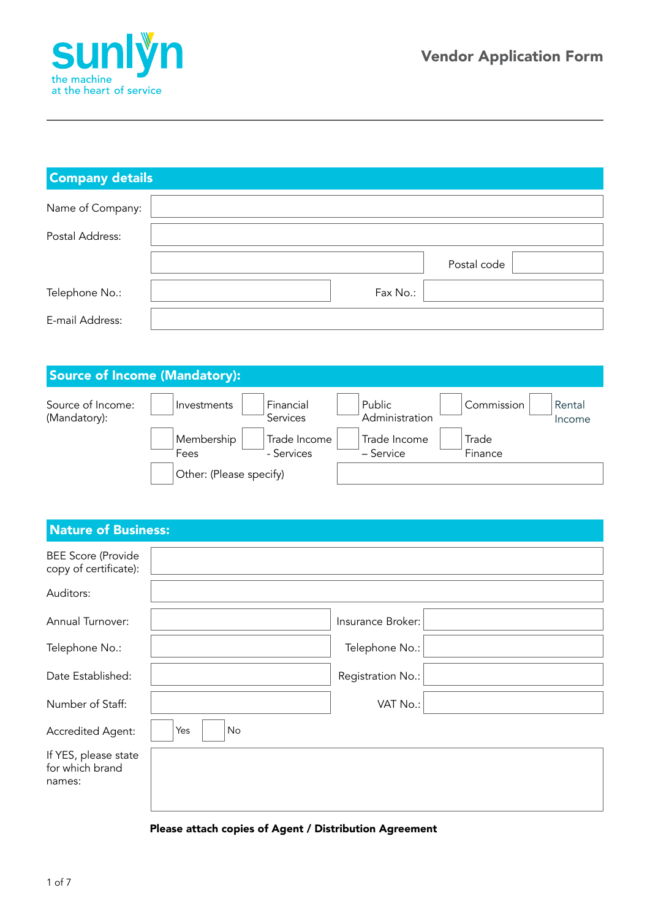

| <b>Company details</b> |          |             |  |  |
|------------------------|----------|-------------|--|--|
| Name of Company:       |          |             |  |  |
| Postal Address:        |          |             |  |  |
|                        |          | Postal code |  |  |
| Telephone No.:         | Fax No.: |             |  |  |
| E-mail Address:        |          |             |  |  |

## Source of Income (Mandatory):

| Source of Income:<br>(Mandatory): | Investments             | Financial<br><b>Services</b> | Public<br>Administration  | Commission       | Rental<br>Income |
|-----------------------------------|-------------------------|------------------------------|---------------------------|------------------|------------------|
|                                   | Membership<br>Fees      | Trade Income<br>- Services   | Trade Income<br>– Service | Trade<br>Finance |                  |
|                                   | Other: (Please specify) |                              |                           |                  |                  |

## Nature of Business:

| <b>BEE Score (Provide</b><br>copy of certificate): |           |                   |  |
|----------------------------------------------------|-----------|-------------------|--|
| Auditors:                                          |           |                   |  |
| Annual Turnover:                                   |           | Insurance Broker: |  |
| Telephone No.:                                     |           | Telephone No.:    |  |
| Date Established:                                  |           | Registration No.: |  |
| Number of Staff:                                   |           | VAT No.:          |  |
| Accredited Agent:                                  | Yes<br>No |                   |  |
| If YES, please state<br>for which brand<br>names:  |           |                   |  |

### Please attach copies of Agent / Distribution Agreement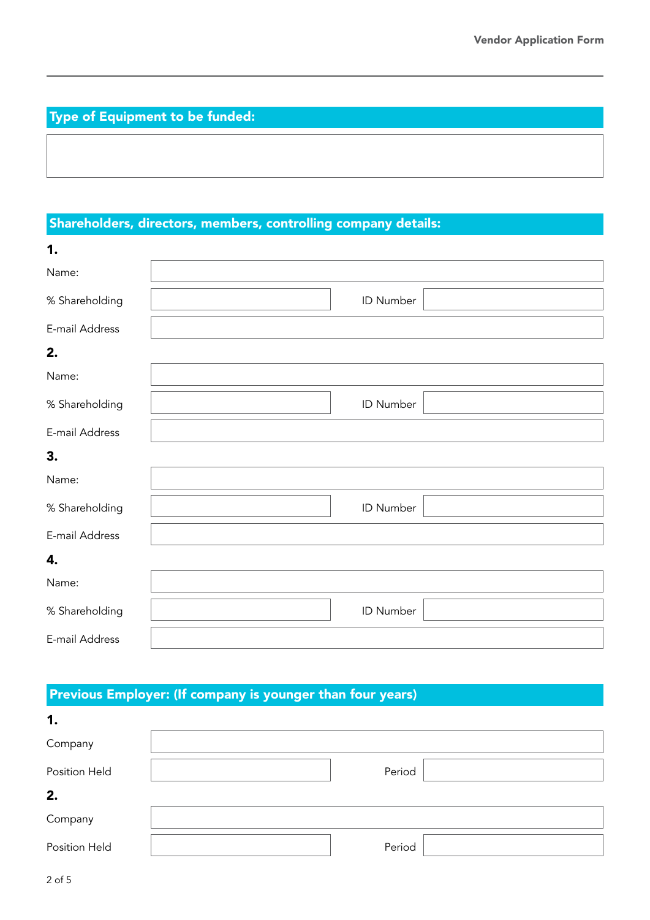# Type of Equipment to be funded:

## Shareholders, directors, members, controlling company details:

| 1.             |           |  |
|----------------|-----------|--|
| Name:          |           |  |
| % Shareholding | ID Number |  |
| E-mail Address |           |  |
| 2.             |           |  |
| Name:          |           |  |
| % Shareholding | ID Number |  |
| E-mail Address |           |  |
| 3.             |           |  |
| Name:          |           |  |
| % Shareholding | ID Number |  |
| E-mail Address |           |  |
| 4.             |           |  |
| Name:          |           |  |
| % Shareholding | ID Number |  |
| E-mail Address |           |  |

# Previous Employer: (If company is younger than four years)

| 1.            |        |  |
|---------------|--------|--|
| Company       |        |  |
| Position Held | Period |  |
| 2.            |        |  |
| Company       |        |  |
| Position Held | Period |  |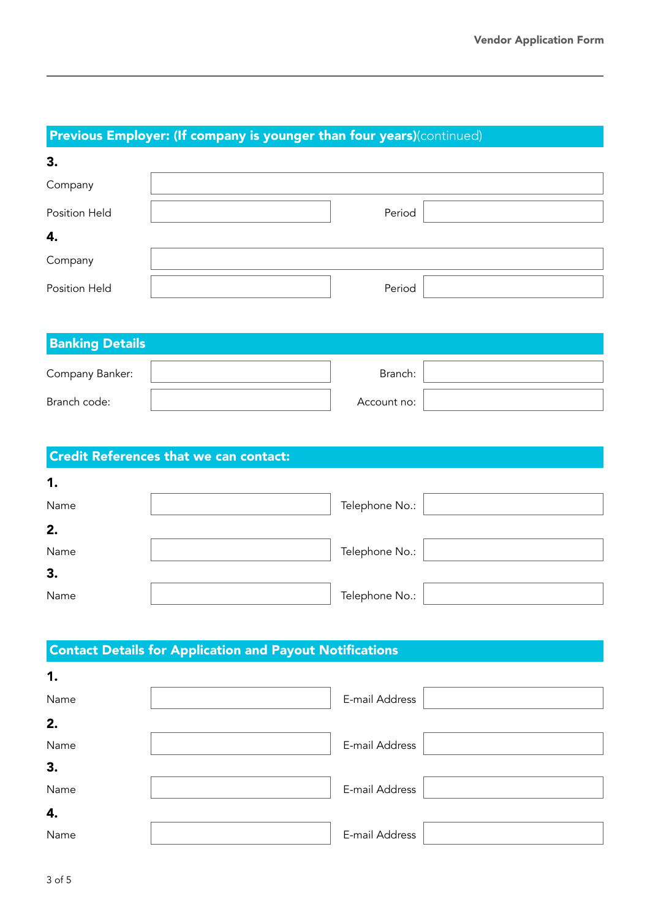# Previous Employer: (If company is younger than four years)(continued)

| 3.            |        |
|---------------|--------|
| Company       |        |
| Position Held | Period |
| 4.            |        |
| Company       |        |
| Position Held | Period |

| <b>Banking Details</b> |  |             |  |
|------------------------|--|-------------|--|
| Company Banker:        |  | Branch:     |  |
| Branch code:           |  | Account no: |  |

# Credit References that we can contact:

| 1.   |                |  |
|------|----------------|--|
| Name | Telephone No.: |  |
| 2.   |                |  |
| Name | Telephone No.: |  |
| 3.   |                |  |
| Name | Telephone No.: |  |

## Contact Details for Application and Payout Notifications

| 1.   |                |  |
|------|----------------|--|
| Name | E-mail Address |  |
| 2.   |                |  |
| Name | E-mail Address |  |
| 3.   |                |  |
| Name | E-mail Address |  |
| 4.   |                |  |
| Name | E-mail Address |  |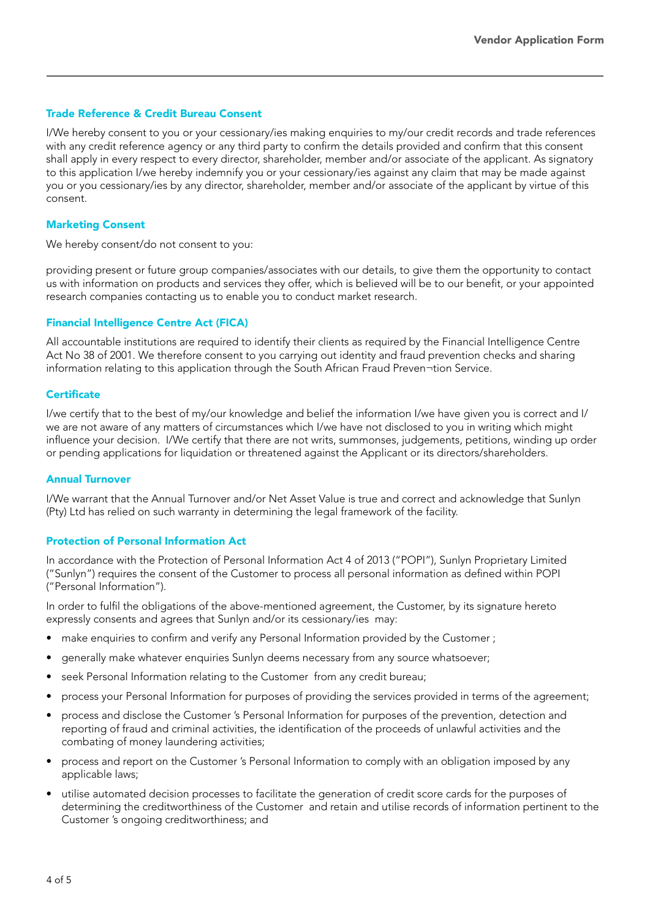### Trade Reference & Credit Bureau Consent

I/We hereby consent to you or your cessionary/ies making enquiries to my/our credit records and trade references with any credit reference agency or any third party to confirm the details provided and confirm that this consent shall apply in every respect to every director, shareholder, member and/or associate of the applicant. As signatory to this application I/we hereby indemnify you or your cessionary/ies against any claim that may be made against you or you cessionary/ies by any director, shareholder, member and/or associate of the applicant by virtue of this consent.

### Marketing Consent

We hereby consent/do not consent to you:

providing present or future group companies/associates with our details, to give them the opportunity to contact us with information on products and services they offer, which is believed will be to our benefit, or your appointed research companies contacting us to enable you to conduct market research.

#### Financial Intelligence Centre Act (FICA)

All accountable institutions are required to identify their clients as required by the Financial Intelligence Centre Act No 38 of 2001. We therefore consent to you carrying out identity and fraud prevention checks and sharing information relating to this application through the South African Fraud Preven¬tion Service.

#### **Certificate**

I/we certify that to the best of my/our knowledge and belief the information I/we have given you is correct and I/ we are not aware of any matters of circumstances which I/we have not disclosed to you in writing which might influence your decision. I/We certify that there are not writs, summonses, judgements, petitions, winding up order or pending applications for liquidation or threatened against the Applicant or its directors/shareholders.

#### Annual Turnover

I/We warrant that the Annual Turnover and/or Net Asset Value is true and correct and acknowledge that Sunlyn (Pty) Ltd has relied on such warranty in determining the legal framework of the facility.

### Protection of Personal Information Act

In accordance with the Protection of Personal Information Act 4 of 2013 ("POPI"), Sunlyn Proprietary Limited ("Sunlyn") requires the consent of the Customer to process all personal information as defined within POPI ("Personal Information").

In order to fulfil the obligations of the above-mentioned agreement, the Customer, by its signature hereto expressly consents and agrees that Sunlyn and/or its cessionary/ies may:

- make enquiries to confirm and verify any Personal Information provided by the Customer ;
- generally make whatever enquiries Sunlyn deems necessary from any source whatsoever;
- seek Personal Information relating to the Customer from any credit bureau;
- process your Personal Information for purposes of providing the services provided in terms of the agreement;
- process and disclose the Customer 's Personal Information for purposes of the prevention, detection and reporting of fraud and criminal activities, the identification of the proceeds of unlawful activities and the combating of money laundering activities;
- process and report on the Customer 's Personal Information to comply with an obligation imposed by any applicable laws;
- utilise automated decision processes to facilitate the generation of credit score cards for the purposes of determining the creditworthiness of the Customer and retain and utilise records of information pertinent to the Customer 's ongoing creditworthiness; and